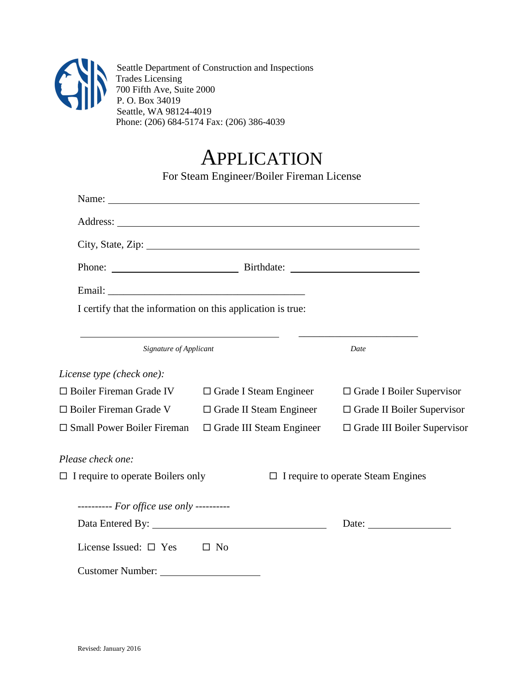

Seattle Department of Construction and Inspections Trades Licensing 700 Fifth Ave, Suite 2000 P. O. Box 34019 Seattle, WA 98124-4019 Phone: (206) 684-5174 Fax: (206) 386-4039

## APPLICATION

For Steam Engineer/Boiler Fireman License

|                                                             | City, State, Zip: 2008. Experience of the State of Table 3. |                                           |  |  |
|-------------------------------------------------------------|-------------------------------------------------------------|-------------------------------------------|--|--|
|                                                             |                                                             |                                           |  |  |
|                                                             |                                                             |                                           |  |  |
| I certify that the information on this application is true: |                                                             |                                           |  |  |
| Signature of Applicant                                      |                                                             | Date                                      |  |  |
| License type (check one):                                   |                                                             |                                           |  |  |
| $\square$ Boiler Fireman Grade IV                           | $\Box$ Grade I Steam Engineer                               | $\Box$ Grade I Boiler Supervisor          |  |  |
| □ Boiler Fireman Grade V                                    | $\Box$ Grade II Steam Engineer                              | $\Box$ Grade II Boiler Supervisor         |  |  |
| $\square$ Small Power Boiler Fireman                        | $\Box$ Grade III Steam Engineer                             | $\Box$ Grade III Boiler Supervisor        |  |  |
| Please check one:                                           |                                                             |                                           |  |  |
| $\Box$ I require to operate Boilers only                    |                                                             | $\Box$ I require to operate Steam Engines |  |  |
| ---------- For office use only ----------                   |                                                             |                                           |  |  |
|                                                             |                                                             | Date:                                     |  |  |
| License Issued: $\square$ Yes                               | $\square$ No                                                |                                           |  |  |
| Customer Number:                                            |                                                             |                                           |  |  |